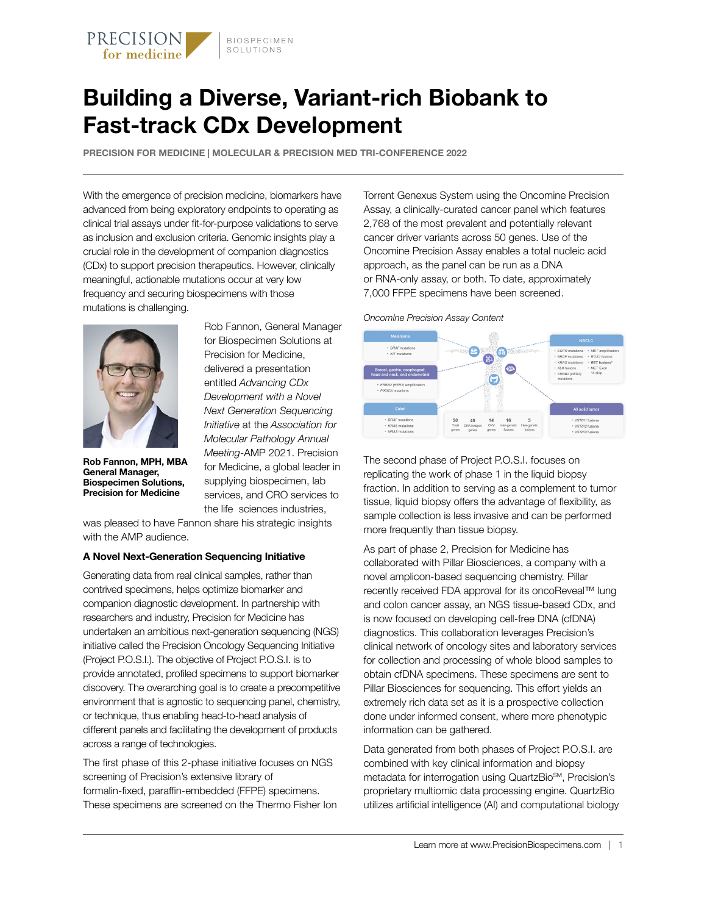

## **Building a Diverse, Variant-rich Biobank to Fast-track CDx Development**

**PRECISION FOR MEDICINE | MOLECULAR & PRECISION MED TRI-CONFERENCE 2022**

With the emergence of precision medicine, biomarkers have advanced from being exploratory endpoints to operating as clinical trial assays under fit-for-purpose validations to serve as inclusion and exclusion criteria. Genomic insights play a crucial role in the development of companion diagnostics (CDx) to support precision therapeutics. However, clinically meaningful, actionable mutations occur at very low frequency and securing biospecimens with those mutations is challenging.



**Rob Fannon, MPH, MBA General Manager, Biospecimen Solutions, Precision for Medicine**

Rob Fannon, General Manager for Biospecimen Solutions at Precision for Medicine, delivered a presentation entitled *Advancing CDx Development with a Novel Next Generation Sequencing Initiative* at the *Association for Molecular Pathology Annual Meeting*-AMP 2021. Precision for Medicine, a global leader in supplying biospecimen, lab services, and CRO services to the life sciences industries,

was pleased to have Fannon share his strategic insights with the AMP audience.

#### **A Novel Next-Generation Sequencing Initiative**

Generating data from real clinical samples, rather than contrived specimens, helps optimize biomarker and companion diagnostic development. In partnership with researchers and industry, Precision for Medicine has undertaken an ambitious next-generation sequencing (NGS) initiative called the Precision Oncology Sequencing Initiative (Project P.O.S.I.). The objective of Project P.O.S.I. is to provide annotated, profiled specimens to support biomarker discovery. The overarching goal is to create a precompetitive environment that is agnostic to sequencing panel, chemistry, or technique, thus enabling head-to-head analysis of different panels and facilitating the development of products across a range of technologies.

The first phase of this 2-phase initiative focuses on NGS screening of Precision's extensive library of formalin-fixed, paraffin-embedded (FFPE) specimens. These specimens are screened on the Thermo Fisher Ion Torrent Genexus System using the Oncomine Precision Assay, a clinically-curated cancer panel which features 2,768 of the most prevalent and potentially relevant cancer driver variants across 50 genes. Use of the Oncomine Precision Assay enables a total nucleic acid approach, as the panel can be run as a DNA or RNA-only assay, or both. To date, approximately 7,000 FFPE specimens have been screened.

*Oncomlne Precision Assay Content*



The second phase of Project P.O.S.I. focuses on replicating the work of phase 1 in the liquid biopsy fraction. In addition to serving as a complement to tumor tissue, liquid biopsy offers the advantage of flexibility, as sample collection is less invasive and can be performed more frequently than tissue biopsy.

As part of phase 2, Precision for Medicine has collaborated with Pillar Biosciences, a company with a novel amplicon-based sequencing chemistry. Pillar recently received FDA approval for its oncoReveal™ lung and colon cancer assay, an NGS tissue-based CDx, and is now focused on developing cell-free DNA (cfDNA) diagnostics. This collaboration leverages Precision's clinical network of oncology sites and laboratory services for collection and processing of whole blood samples to obtain cfDNA specimens. These specimens are sent to Pillar Biosciences for sequencing. This effort yields an extremely rich data set as it is a prospective collection done under informed consent, where more phenotypic information can be gathered.

Data generated from both phases of Project P.O.S.I. are combined with key clinical information and biopsy metadata for interrogation using QuartzBio<sup>SM</sup>, Precision's proprietary multiomic data processing engine. QuartzBio utilizes artificial intelligence (AI) and computational biology